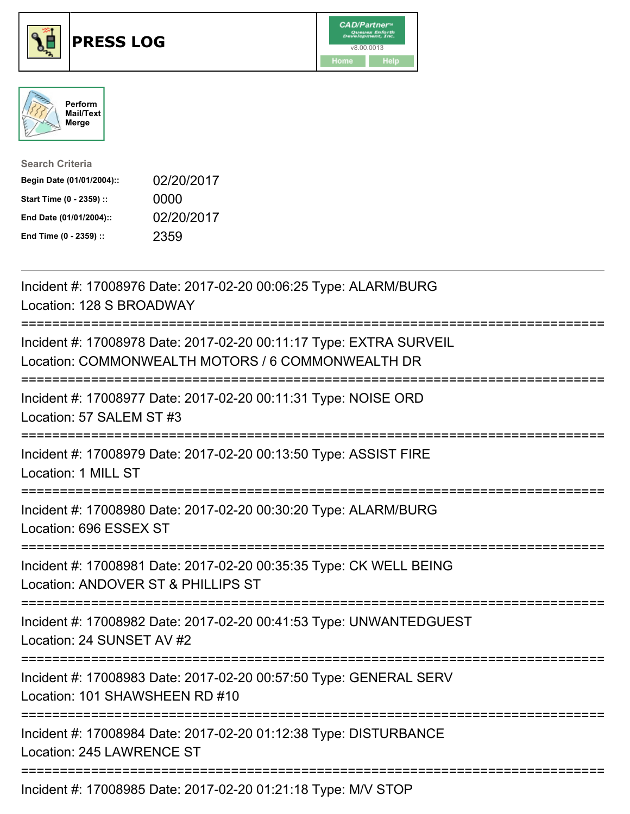

## **PRESS LOG** v8.00.0013





| <b>Search Criteria</b>    |            |
|---------------------------|------------|
| Begin Date (01/01/2004):: | 02/20/2017 |
| Start Time (0 - 2359) ::  | 0000       |
| End Date (01/01/2004)::   | 02/20/2017 |
| End Time (0 - 2359) ::    | 2359       |

Incident #: 17008976 Date: 2017-02-20 00:06:25 Type: ALARM/BURG Location: 128 S BROADWAY =========================================================================== Incident #: 17008978 Date: 2017-02-20 00:11:17 Type: EXTRA SURVEIL Location: COMMONWEALTH MOTORS / 6 COMMONWEALTH DR =========================================================================== Incident #: 17008977 Date: 2017-02-20 00:11:31 Type: NOISE ORD Location: 57 SALEM ST #3 =========================================================================== Incident #: 17008979 Date: 2017-02-20 00:13:50 Type: ASSIST FIRE Location: 1 MILL ST =========================================================================== Incident #: 17008980 Date: 2017-02-20 00:30:20 Type: ALARM/BURG Location: 696 ESSEX ST =========================================================================== Incident #: 17008981 Date: 2017-02-20 00:35:35 Type: CK WELL BEING Location: ANDOVER ST & PHILLIPS ST =========================================================================== Incident #: 17008982 Date: 2017-02-20 00:41:53 Type: UNWANTEDGUEST Location: 24 SUNSET AV #2 =========================================================================== Incident #: 17008983 Date: 2017-02-20 00:57:50 Type: GENERAL SERV Location: 101 SHAWSHEEN RD #10 =========================================================================== Incident #: 17008984 Date: 2017-02-20 01:12:38 Type: DISTURBANCE Location: 245 LAWRENCE ST =========================================================================== Incident #: 17008985 Date: 2017-02-20 01:21:18 Type: M/V STOP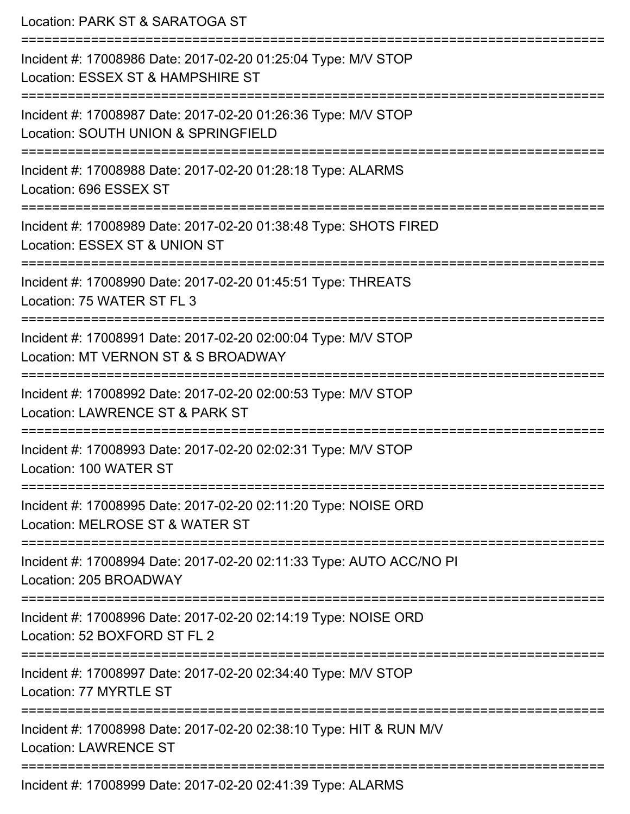| Location: PARK ST & SARATOGA ST                                                                                              |
|------------------------------------------------------------------------------------------------------------------------------|
| Incident #: 17008986 Date: 2017-02-20 01:25:04 Type: M/V STOP<br>Location: ESSEX ST & HAMPSHIRE ST<br>---------------------- |
| Incident #: 17008987 Date: 2017-02-20 01:26:36 Type: M/V STOP<br>Location: SOUTH UNION & SPRINGFIELD                         |
| Incident #: 17008988 Date: 2017-02-20 01:28:18 Type: ALARMS<br>Location: 696 ESSEX ST                                        |
| Incident #: 17008989 Date: 2017-02-20 01:38:48 Type: SHOTS FIRED<br>Location: ESSEX ST & UNION ST                            |
| Incident #: 17008990 Date: 2017-02-20 01:45:51 Type: THREATS<br>Location: 75 WATER ST FL 3                                   |
| Incident #: 17008991 Date: 2017-02-20 02:00:04 Type: M/V STOP<br>Location: MT VERNON ST & S BROADWAY                         |
| Incident #: 17008992 Date: 2017-02-20 02:00:53 Type: M/V STOP<br>Location: LAWRENCE ST & PARK ST                             |
| Incident #: 17008993 Date: 2017-02-20 02:02:31 Type: M/V STOP<br>Location: 100 WATER ST                                      |
| Incident #: 17008995 Date: 2017-02-20 02:11:20 Type: NOISE ORD<br>Location: MELROSE ST & WATER ST                            |
| Incident #: 17008994 Date: 2017-02-20 02:11:33 Type: AUTO ACC/NO PI<br>Location: 205 BROADWAY                                |
| Incident #: 17008996 Date: 2017-02-20 02:14:19 Type: NOISE ORD<br>Location: 52 BOXFORD ST FL 2                               |
| Incident #: 17008997 Date: 2017-02-20 02:34:40 Type: M/V STOP<br>Location: 77 MYRTLE ST                                      |
| Incident #: 17008998 Date: 2017-02-20 02:38:10 Type: HIT & RUN M/V<br><b>Location: LAWRENCE ST</b>                           |
| Incident #: 17008999 Date: 2017-02-20 02:41:39 Type: ALARMS                                                                  |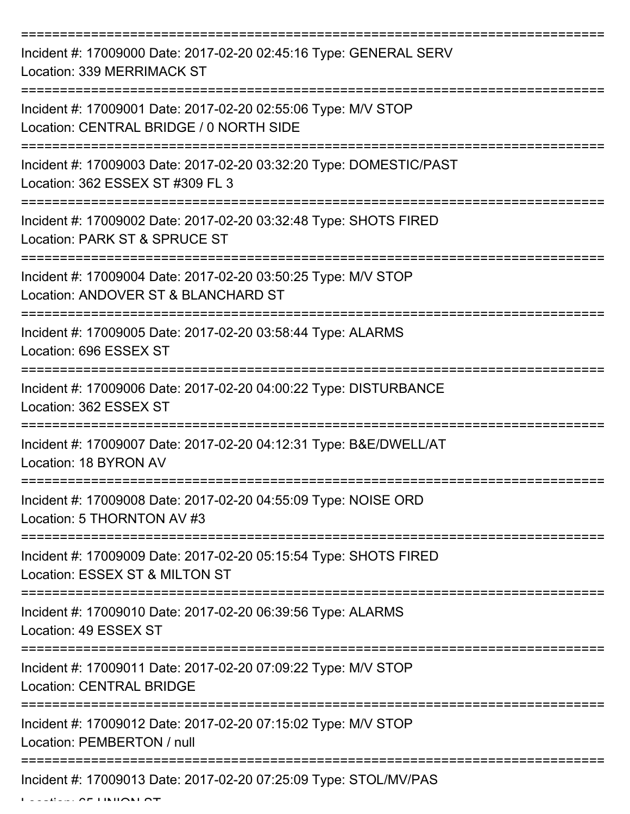| Incident #: 17009000 Date: 2017-02-20 02:45:16 Type: GENERAL SERV<br>Location: 339 MERRIMACK ST                                         |
|-----------------------------------------------------------------------------------------------------------------------------------------|
| Incident #: 17009001 Date: 2017-02-20 02:55:06 Type: M/V STOP<br>Location: CENTRAL BRIDGE / 0 NORTH SIDE                                |
| Incident #: 17009003 Date: 2017-02-20 03:32:20 Type: DOMESTIC/PAST<br>Location: 362 ESSEX ST #309 FL 3                                  |
| Incident #: 17009002 Date: 2017-02-20 03:32:48 Type: SHOTS FIRED<br>Location: PARK ST & SPRUCE ST                                       |
| Incident #: 17009004 Date: 2017-02-20 03:50:25 Type: M/V STOP<br>Location: ANDOVER ST & BLANCHARD ST<br>================                |
| Incident #: 17009005 Date: 2017-02-20 03:58:44 Type: ALARMS<br>Location: 696 ESSEX ST                                                   |
| Incident #: 17009006 Date: 2017-02-20 04:00:22 Type: DISTURBANCE<br>Location: 362 ESSEX ST                                              |
| Incident #: 17009007 Date: 2017-02-20 04:12:31 Type: B&E/DWELL/AT<br>Location: 18 BYRON AV                                              |
| Incident #: 17009008 Date: 2017-02-20 04:55:09 Type: NOISE ORD<br>Location: 5 THORNTON AV #3                                            |
| Incident #: 17009009 Date: 2017-02-20 05:15:54 Type: SHOTS FIRED<br>Location: ESSEX ST & MILTON ST                                      |
| Incident #: 17009010 Date: 2017-02-20 06:39:56 Type: ALARMS<br>Location: 49 ESSEX ST                                                    |
| :==================================<br>Incident #: 17009011 Date: 2017-02-20 07:09:22 Type: M/V STOP<br><b>Location: CENTRAL BRIDGE</b> |
| Incident #: 17009012 Date: 2017-02-20 07:15:02 Type: M/V STOP<br>Location: PEMBERTON / null                                             |
| Incident #: 17009013 Date: 2017-02-20 07:25:09 Type: STOL/MV/PAS                                                                        |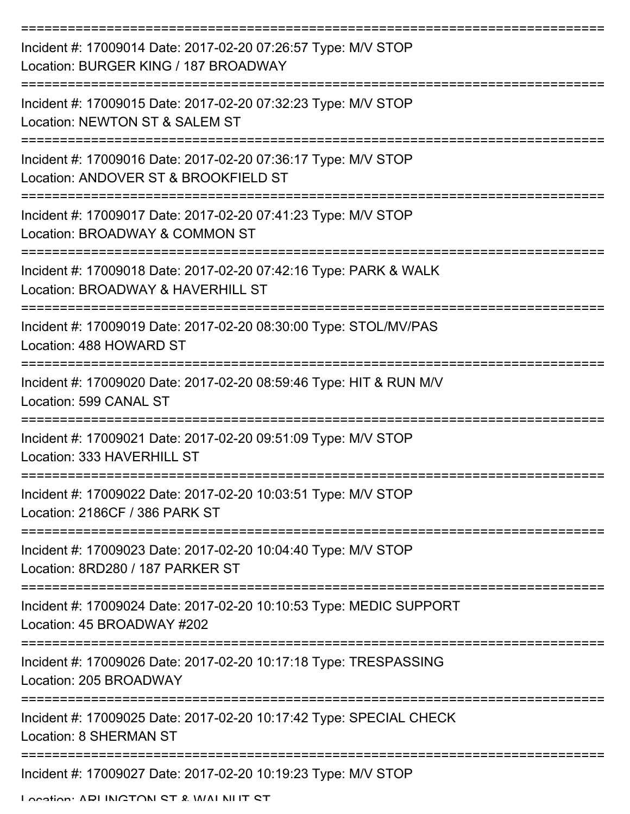| Incident #: 17009014 Date: 2017-02-20 07:26:57 Type: M/V STOP<br>Location: BURGER KING / 187 BROADWAY |
|-------------------------------------------------------------------------------------------------------|
| Incident #: 17009015 Date: 2017-02-20 07:32:23 Type: M/V STOP<br>Location: NEWTON ST & SALEM ST       |
| Incident #: 17009016 Date: 2017-02-20 07:36:17 Type: M/V STOP<br>Location: ANDOVER ST & BROOKFIELD ST |
| Incident #: 17009017 Date: 2017-02-20 07:41:23 Type: M/V STOP<br>Location: BROADWAY & COMMON ST       |
| Incident #: 17009018 Date: 2017-02-20 07:42:16 Type: PARK & WALK<br>Location: BROADWAY & HAVERHILL ST |
| Incident #: 17009019 Date: 2017-02-20 08:30:00 Type: STOL/MV/PAS<br>Location: 488 HOWARD ST           |
| Incident #: 17009020 Date: 2017-02-20 08:59:46 Type: HIT & RUN M/V<br>Location: 599 CANAL ST          |
| Incident #: 17009021 Date: 2017-02-20 09:51:09 Type: M/V STOP<br>Location: 333 HAVERHILL ST           |
| Incident #: 17009022 Date: 2017-02-20 10:03:51 Type: M/V STOP<br>Location: 2186CF / 386 PARK ST       |
| Incident #: 17009023 Date: 2017-02-20 10:04:40 Type: M/V STOP<br>Location: 8RD280 / 187 PARKER ST     |
| Incident #: 17009024 Date: 2017-02-20 10:10:53 Type: MEDIC SUPPORT<br>Location: 45 BROADWAY #202      |
| Incident #: 17009026 Date: 2017-02-20 10:17:18 Type: TRESPASSING<br>Location: 205 BROADWAY            |
| Incident #: 17009025 Date: 2017-02-20 10:17:42 Type: SPECIAL CHECK<br><b>Location: 8 SHERMAN ST</b>   |
| Incident #: 17009027 Date: 2017-02-20 10:19:23 Type: M/V STOP                                         |

Location: ADI INCTON ST & WALNUT ST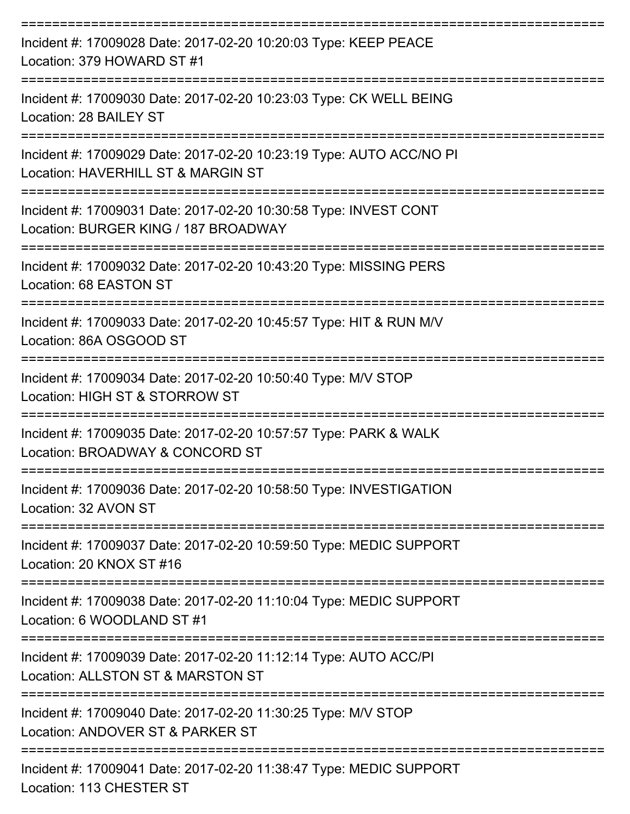| Incident #: 17009028 Date: 2017-02-20 10:20:03 Type: KEEP PEACE<br>Location: 379 HOWARD ST #1                                 |
|-------------------------------------------------------------------------------------------------------------------------------|
| Incident #: 17009030 Date: 2017-02-20 10:23:03 Type: CK WELL BEING<br>Location: 28 BAILEY ST                                  |
| Incident #: 17009029 Date: 2017-02-20 10:23:19 Type: AUTO ACC/NO PI<br>Location: HAVERHILL ST & MARGIN ST                     |
| Incident #: 17009031 Date: 2017-02-20 10:30:58 Type: INVEST CONT<br>Location: BURGER KING / 187 BROADWAY<br>----------------- |
| Incident #: 17009032 Date: 2017-02-20 10:43:20 Type: MISSING PERS<br>Location: 68 EASTON ST                                   |
| Incident #: 17009033 Date: 2017-02-20 10:45:57 Type: HIT & RUN M/V<br>Location: 86A OSGOOD ST<br>==================           |
| Incident #: 17009034 Date: 2017-02-20 10:50:40 Type: M/V STOP<br>Location: HIGH ST & STORROW ST                               |
| Incident #: 17009035 Date: 2017-02-20 10:57:57 Type: PARK & WALK<br>Location: BROADWAY & CONCORD ST                           |
| Incident #: 17009036 Date: 2017-02-20 10:58:50 Type: INVESTIGATION<br>Location: 32 AVON ST                                    |
| Incident #: 17009037 Date: 2017-02-20 10:59:50 Type: MEDIC SUPPORT<br>Location: 20 KNOX ST #16                                |
| Incident #: 17009038 Date: 2017-02-20 11:10:04 Type: MEDIC SUPPORT<br>Location: 6 WOODLAND ST #1                              |
| Incident #: 17009039 Date: 2017-02-20 11:12:14 Type: AUTO ACC/PI<br>Location: ALLSTON ST & MARSTON ST                         |
| Incident #: 17009040 Date: 2017-02-20 11:30:25 Type: M/V STOP<br>Location: ANDOVER ST & PARKER ST<br>------------------------ |
| Incident #: 17009041 Date: 2017-02-20 11:38:47 Type: MEDIC SUPPORT                                                            |

Location: 113 CHESTER ST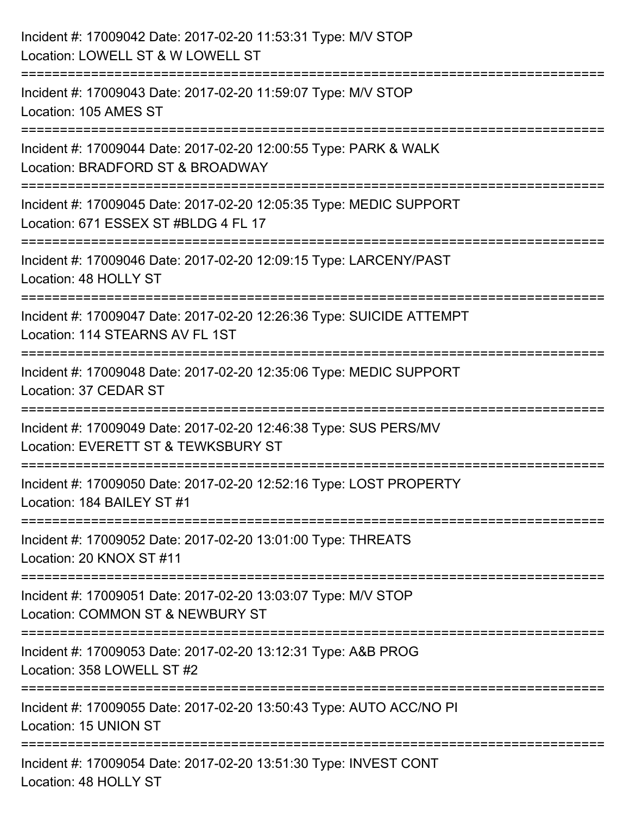| Incident #: 17009042 Date: 2017-02-20 11:53:31 Type: M/V STOP<br>Location: LOWELL ST & W LOWELL ST                                        |
|-------------------------------------------------------------------------------------------------------------------------------------------|
| ==============================<br>Incident #: 17009043 Date: 2017-02-20 11:59:07 Type: M/V STOP<br>Location: 105 AMES ST                  |
| Incident #: 17009044 Date: 2017-02-20 12:00:55 Type: PARK & WALK<br>Location: BRADFORD ST & BROADWAY<br>============================      |
| Incident #: 17009045 Date: 2017-02-20 12:05:35 Type: MEDIC SUPPORT<br>Location: 671 ESSEX ST #BLDG 4 FL 17<br>=========================== |
| Incident #: 17009046 Date: 2017-02-20 12:09:15 Type: LARCENY/PAST<br>Location: 48 HOLLY ST                                                |
| Incident #: 17009047 Date: 2017-02-20 12:26:36 Type: SUICIDE ATTEMPT<br>Location: 114 STEARNS AV FL 1ST                                   |
| :====================================<br>Incident #: 17009048 Date: 2017-02-20 12:35:06 Type: MEDIC SUPPORT<br>Location: 37 CEDAR ST      |
| Incident #: 17009049 Date: 2017-02-20 12:46:38 Type: SUS PERS/MV<br>Location: EVERETT ST & TEWKSBURY ST                                   |
| Incident #: 17009050 Date: 2017-02-20 12:52:16 Type: LOST PROPERTY<br>Location: 184 BAILEY ST #1                                          |
| Incident #: 17009052 Date: 2017-02-20 13:01:00 Type: THREATS<br>Location: 20 KNOX ST #11                                                  |
| Incident #: 17009051 Date: 2017-02-20 13:03:07 Type: M/V STOP<br>Location: COMMON ST & NEWBURY ST                                         |
| Incident #: 17009053 Date: 2017-02-20 13:12:31 Type: A&B PROG<br>Location: 358 LOWELL ST #2                                               |
| Incident #: 17009055 Date: 2017-02-20 13:50:43 Type: AUTO ACC/NO PI<br>Location: 15 UNION ST                                              |
| Incident #: 17009054 Date: 2017-02-20 13:51:30 Type: INVEST CONT<br>Location: 48 HOLLY ST                                                 |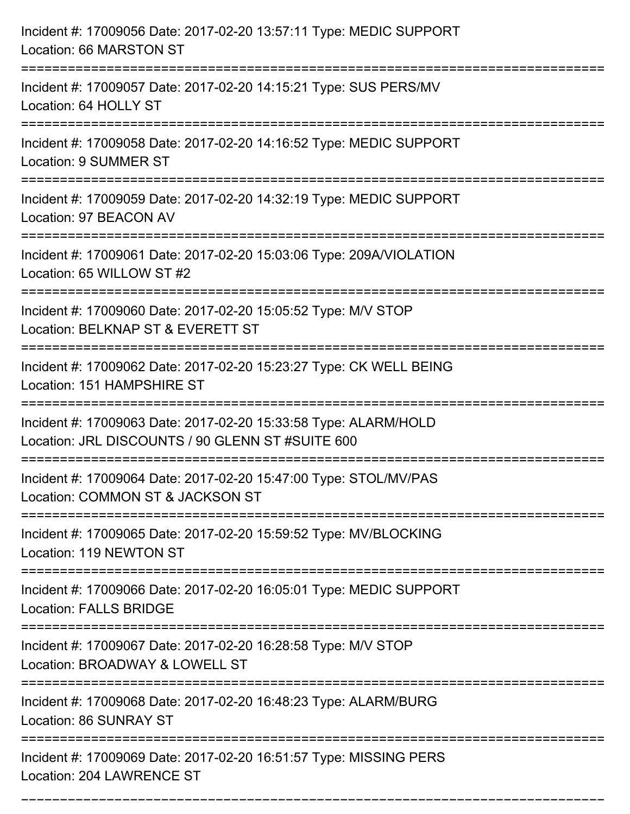| Incident #: 17009056 Date: 2017-02-20 13:57:11 Type: MEDIC SUPPORT<br>Location: 66 MARSTON ST                                                                                 |
|-------------------------------------------------------------------------------------------------------------------------------------------------------------------------------|
| Incident #: 17009057 Date: 2017-02-20 14:15:21 Type: SUS PERS/MV<br>Location: 64 HOLLY ST                                                                                     |
| Incident #: 17009058 Date: 2017-02-20 14:16:52 Type: MEDIC SUPPORT<br><b>Location: 9 SUMMER ST</b><br>:===================================<br>=============================== |
| Incident #: 17009059 Date: 2017-02-20 14:32:19 Type: MEDIC SUPPORT<br>Location: 97 BEACON AV                                                                                  |
| Incident #: 17009061 Date: 2017-02-20 15:03:06 Type: 209A/VIOLATION<br>Location: 65 WILLOW ST #2<br>---------------------------                                               |
| Incident #: 17009060 Date: 2017-02-20 15:05:52 Type: M/V STOP<br>Location: BELKNAP ST & EVERETT ST                                                                            |
| Incident #: 17009062 Date: 2017-02-20 15:23:27 Type: CK WELL BEING<br>Location: 151 HAMPSHIRE ST                                                                              |
| Incident #: 17009063 Date: 2017-02-20 15:33:58 Type: ALARM/HOLD<br>Location: JRL DISCOUNTS / 90 GLENN ST #SUITE 600                                                           |
| Incident #: 17009064 Date: 2017-02-20 15:47:00 Type: STOL/MV/PAS<br>Location: COMMON ST & JACKSON ST                                                                          |
| Incident #: 17009065 Date: 2017-02-20 15:59:52 Type: MV/BLOCKING<br>Location: 119 NEWTON ST                                                                                   |
| Incident #: 17009066 Date: 2017-02-20 16:05:01 Type: MEDIC SUPPORT<br><b>Location: FALLS BRIDGE</b>                                                                           |
| Incident #: 17009067 Date: 2017-02-20 16:28:58 Type: M/V STOP<br>Location: BROADWAY & LOWELL ST                                                                               |
| Incident #: 17009068 Date: 2017-02-20 16:48:23 Type: ALARM/BURG<br>Location: 86 SUNRAY ST                                                                                     |
| Incident #: 17009069 Date: 2017-02-20 16:51:57 Type: MISSING PERS<br>Location: 204 LAWRENCE ST                                                                                |

===========================================================================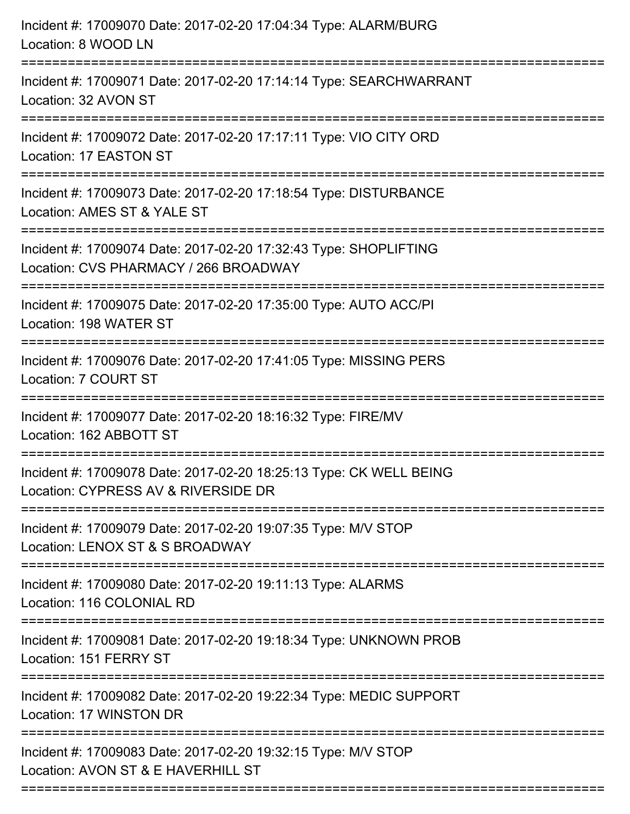| Incident #: 17009070 Date: 2017-02-20 17:04:34 Type: ALARM/BURG<br>Location: 8 WOOD LN                                           |
|----------------------------------------------------------------------------------------------------------------------------------|
| Incident #: 17009071 Date: 2017-02-20 17:14:14 Type: SEARCHWARRANT<br>Location: 32 AVON ST                                       |
| Incident #: 17009072 Date: 2017-02-20 17:17:11 Type: VIO CITY ORD<br>Location: 17 EASTON ST                                      |
| Incident #: 17009073 Date: 2017-02-20 17:18:54 Type: DISTURBANCE<br>Location: AMES ST & YALE ST                                  |
| Incident #: 17009074 Date: 2017-02-20 17:32:43 Type: SHOPLIFTING<br>Location: CVS PHARMACY / 266 BROADWAY<br>=================== |
| Incident #: 17009075 Date: 2017-02-20 17:35:00 Type: AUTO ACC/PI<br>Location: 198 WATER ST                                       |
| Incident #: 17009076 Date: 2017-02-20 17:41:05 Type: MISSING PERS<br>Location: 7 COURT ST                                        |
| Incident #: 17009077 Date: 2017-02-20 18:16:32 Type: FIRE/MV<br>Location: 162 ABBOTT ST                                          |
| Incident #: 17009078 Date: 2017-02-20 18:25:13 Type: CK WELL BEING<br>Location: CYPRESS AV & RIVERSIDE DR                        |
| Incident #: 17009079 Date: 2017-02-20 19:07:35 Type: M/V STOP<br>Location: LENOX ST & S BROADWAY                                 |
| Incident #: 17009080 Date: 2017-02-20 19:11:13 Type: ALARMS<br>Location: 116 COLONIAL RD                                         |
| Incident #: 17009081 Date: 2017-02-20 19:18:34 Type: UNKNOWN PROB<br>Location: 151 FERRY ST                                      |
| Incident #: 17009082 Date: 2017-02-20 19:22:34 Type: MEDIC SUPPORT<br>Location: 17 WINSTON DR                                    |
| Incident #: 17009083 Date: 2017-02-20 19:32:15 Type: M/V STOP<br>Location: AVON ST & E HAVERHILL ST                              |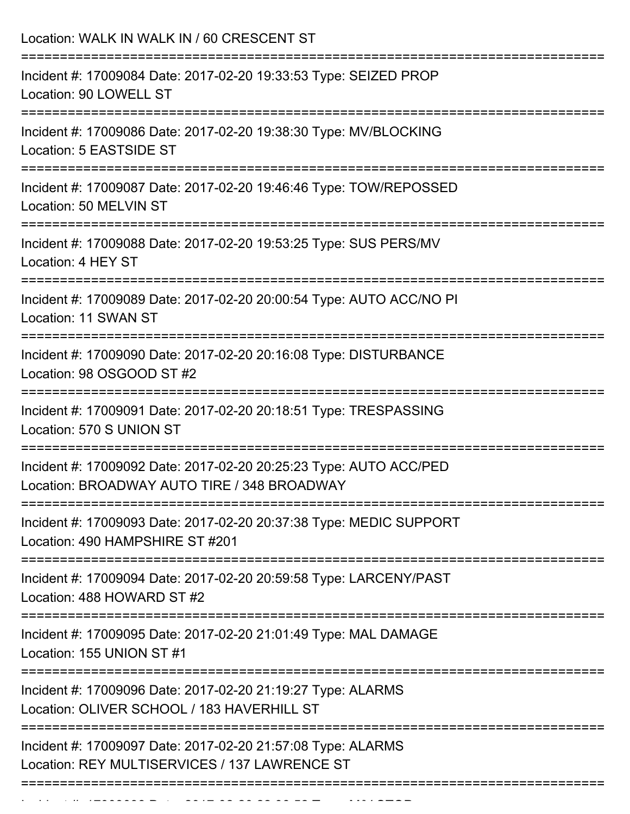| Location: WALK IN WALK IN / 60 CRESCENT ST                                                                       |
|------------------------------------------------------------------------------------------------------------------|
| Incident #: 17009084 Date: 2017-02-20 19:33:53 Type: SEIZED PROP<br>Location: 90 LOWELL ST                       |
| Incident #: 17009086 Date: 2017-02-20 19:38:30 Type: MV/BLOCKING<br>Location: 5 EASTSIDE ST                      |
| Incident #: 17009087 Date: 2017-02-20 19:46:46 Type: TOW/REPOSSED<br>Location: 50 MELVIN ST                      |
| Incident #: 17009088 Date: 2017-02-20 19:53:25 Type: SUS PERS/MV<br>Location: 4 HEY ST                           |
| Incident #: 17009089 Date: 2017-02-20 20:00:54 Type: AUTO ACC/NO PI<br>Location: 11 SWAN ST                      |
| Incident #: 17009090 Date: 2017-02-20 20:16:08 Type: DISTURBANCE<br>Location: 98 OSGOOD ST #2                    |
| Incident #: 17009091 Date: 2017-02-20 20:18:51 Type: TRESPASSING<br>Location: 570 S UNION ST                     |
| Incident #: 17009092 Date: 2017-02-20 20:25:23 Type: AUTO ACC/PED<br>Location: BROADWAY AUTO TIRE / 348 BROADWAY |
| Incident #: 17009093 Date: 2017-02-20 20:37:38 Type: MEDIC SUPPORT<br>Location: 490 HAMPSHIRE ST #201            |
| Incident #: 17009094 Date: 2017-02-20 20:59:58 Type: LARCENY/PAST<br>Location: 488 HOWARD ST #2                  |
| Incident #: 17009095 Date: 2017-02-20 21:01:49 Type: MAL DAMAGE<br>Location: 155 UNION ST #1                     |
| Incident #: 17009096 Date: 2017-02-20 21:19:27 Type: ALARMS<br>Location: OLIVER SCHOOL / 183 HAVERHILL ST        |
| Incident #: 17009097 Date: 2017-02-20 21:57:08 Type: ALARMS<br>Location: REY MULTISERVICES / 137 LAWRENCE ST     |

Incident #: 17009098 Date: 2017 02 20 22:06:52 Type: M/V STOP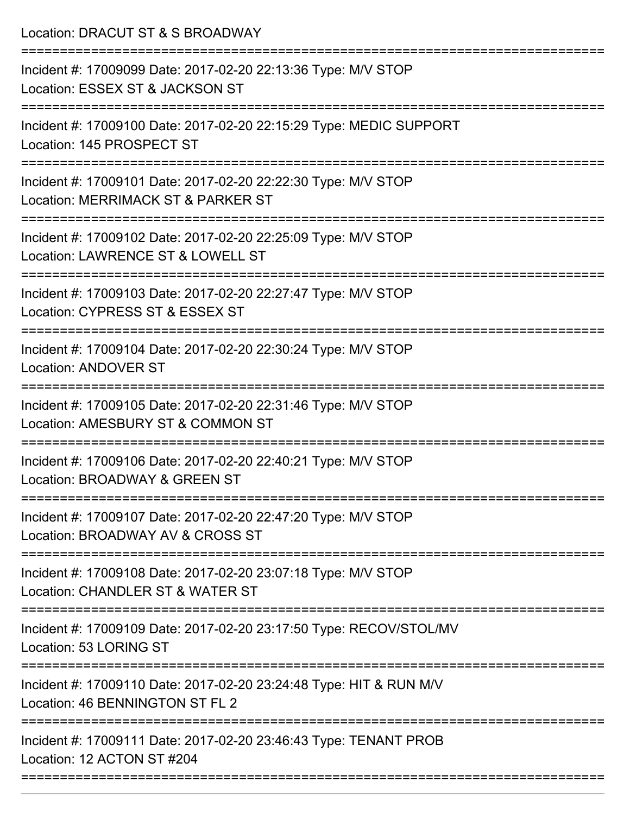Location: DRACUT ST & S BROADWAY

| Incident #: 17009099 Date: 2017-02-20 22:13:36 Type: M/V STOP<br>Location: ESSEX ST & JACKSON ST      |
|-------------------------------------------------------------------------------------------------------|
| Incident #: 17009100 Date: 2017-02-20 22:15:29 Type: MEDIC SUPPORT<br>Location: 145 PROSPECT ST       |
| Incident #: 17009101 Date: 2017-02-20 22:22:30 Type: M/V STOP<br>Location: MERRIMACK ST & PARKER ST   |
| Incident #: 17009102 Date: 2017-02-20 22:25:09 Type: M/V STOP<br>Location: LAWRENCE ST & LOWELL ST    |
| Incident #: 17009103 Date: 2017-02-20 22:27:47 Type: M/V STOP<br>Location: CYPRESS ST & ESSEX ST      |
| Incident #: 17009104 Date: 2017-02-20 22:30:24 Type: M/V STOP<br><b>Location: ANDOVER ST</b>          |
| Incident #: 17009105 Date: 2017-02-20 22:31:46 Type: M/V STOP<br>Location: AMESBURY ST & COMMON ST    |
| Incident #: 17009106 Date: 2017-02-20 22:40:21 Type: M/V STOP<br>Location: BROADWAY & GREEN ST        |
| Incident #: 17009107 Date: 2017-02-20 22:47:20 Type: M/V STOP<br>Location: BROADWAY AV & CROSS ST     |
| Incident #: 17009108 Date: 2017-02-20 23:07:18 Type: M/V STOP<br>Location: CHANDLER ST & WATER ST     |
| Incident #: 17009109 Date: 2017-02-20 23:17:50 Type: RECOV/STOL/MV<br>Location: 53 LORING ST          |
| Incident #: 17009110 Date: 2017-02-20 23:24:48 Type: HIT & RUN M/V<br>Location: 46 BENNINGTON ST FL 2 |
| Incident #: 17009111 Date: 2017-02-20 23:46:43 Type: TENANT PROB<br>Location: 12 ACTON ST #204        |
|                                                                                                       |